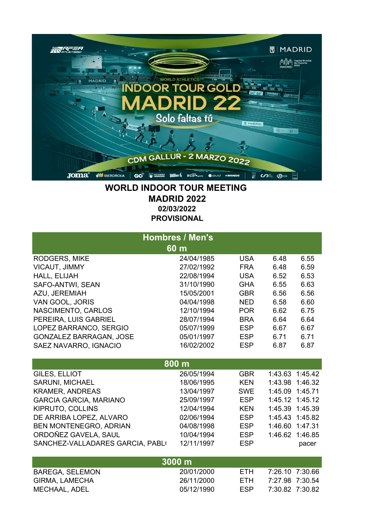

## **WORLD INDOOR TOUR MEETING MADRID 2022 02/03/2022 PROVISIONAL**

| <b>Hombres / Men's</b><br>60 m   |            |            |                 |                 |
|----------------------------------|------------|------------|-----------------|-----------------|
| RODGERS, MIKE                    | 24/04/1985 | <b>USA</b> | 6.48            | 6.55            |
| <b>VICAUT, JIMMY</b>             | 27/02/1992 | <b>FRA</b> | 6.48            | 6.59            |
| HALL, ELIJAH                     | 22/08/1994 | <b>USA</b> | 6.52            | 6.53            |
| SAFO-ANTWI, SEAN                 | 31/10/1990 | <b>GHA</b> | 6.55            | 6.63            |
| AZU, JEREMIAH                    | 15/05/2001 | <b>GBR</b> | 6.56            | 6.56            |
| VAN GOOL, JORIS                  | 04/04/1998 | <b>NED</b> | 6.58            | 6.60            |
| NASCIMENTO, CARLOS               | 12/10/1994 | <b>POR</b> | 6.62            | 6.75            |
| PEREIRA, LUIS GABRIEL            | 28/07/1994 | <b>BRA</b> | 6.64            | 6.64            |
| LOPEZ BARRANCO, SERGIO           | 05/07/1999 | <b>ESP</b> | 6.67            | 6.67            |
| <b>GONZALEZ BARRAGAN, JOSE</b>   | 05/01/1997 | <b>ESP</b> | 6.71            | 6.71            |
| SAEZ NAVARRO, IGNACIO            | 16/02/2002 | <b>ESP</b> | 6.87            | 6.87            |
|                                  |            |            |                 |                 |
|                                  | 800 m      |            |                 |                 |
| GILES, ELLIOT                    | 26/05/1994 | <b>GBR</b> |                 | 1:43.63 1:45.42 |
| <b>SARUNI, MICHAEL</b>           | 18/06/1995 | <b>KEN</b> | 1:43.98         | 1:46.32         |
| <b>KRAMER, ANDREAS</b>           | 13/04/1997 | <b>SWE</b> | 1:45.09         | 1:45.71         |
| <b>GARCIA GARCIA, MARIANO</b>    | 25/09/1997 | <b>ESP</b> | 1:45.12         | 1:45.12         |
| KIPRUTO, COLLINS                 | 12/04/1994 | <b>KEN</b> |                 | 1:45.39 1:45.39 |
| DE ARRIBA LOPEZ, ALVARO          | 02/06/1994 | <b>ESP</b> | 1:45.43         | 1:45.82         |
| BEN MONTENEGRO, ADRIAN           | 04/08/1998 | <b>ESP</b> | 1:46.60         | 1:47.31         |
| ORDOÑEZ GAVELA, SAUL             | 10/04/1994 | <b>ESP</b> | 1:46.62         | 1:46.85         |
| SANCHEZ-VALLADARES GARCIA, PABLO | 12/11/1997 | <b>ESP</b> |                 | pacer           |
|                                  |            |            |                 |                 |
|                                  | 3000 m     |            |                 |                 |
| <b>BAREGA, SELEMON</b>           | 20/01/2000 | <b>ETH</b> | 7:26.10         | 7:30.66         |
| <b>GIRMA, LAMECHA</b>            | 26/11/2000 | <b>ETH</b> | 7:27.98         | 7:30.54         |
| MECHAAL, ADEL                    | 05/12/1990 | <b>ESP</b> | 7:30.82 7:30.82 |                 |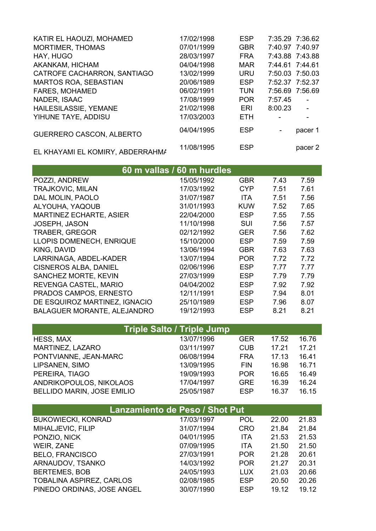| KATIR EL HAOUZI, MOHAMED         | 17/02/1998 | <b>ESP</b> | 7:35.29 7:36.62 |                |
|----------------------------------|------------|------------|-----------------|----------------|
| <b>MORTIMER, THOMAS</b>          | 07/01/1999 | <b>GBR</b> | 7:40.97 7:40.97 |                |
| HAY, HUGO                        | 28/03/1997 | <b>FRA</b> | 7:43.88 7:43.88 |                |
| AKANKAM, HICHAM                  | 04/04/1998 | <b>MAR</b> | 7:44.61 7:44.61 |                |
| CATROFE CACHARRON, SANTIAGO      | 13/02/1999 | <b>URU</b> | 7:50.03 7:50.03 |                |
| <b>MARTOS ROA, SEBASTIAN</b>     | 20/06/1989 | <b>ESP</b> | 7:52.37 7:52.37 |                |
| <b>FARES, MOHAMED</b>            | 06/02/1991 | <b>TUN</b> | 7:56.69 7:56.69 |                |
| NADER, ISAAC                     | 17/08/1999 | <b>POR</b> | 7:57.45         | $\blacksquare$ |
| HAILESILASSIE, YEMANE            | 21/02/1998 | ERI        | 8:00.23         |                |
| YIHUNE TAYE, ADDISU              | 17/03/2003 | <b>ETH</b> |                 |                |
| <b>GUERRERO CASCON, ALBERTO</b>  | 04/04/1995 | <b>ESP</b> | $\blacksquare$  | pacer 1        |
| EL KHAYAMI EL KOMIRY, ABDERRAHMA | 11/08/1995 | <b>ESP</b> |                 | pacer 2        |

|                                    | 60 m vallas / 60 m hurdles |            |      |      |
|------------------------------------|----------------------------|------------|------|------|
| POZZI, ANDREW                      | 15/05/1992                 | <b>GBR</b> | 7.43 | 7.59 |
| <b>TRAJKOVIC, MILAN</b>            | 17/03/1992                 | CYP        | 7.51 | 7.61 |
| DAL MOLIN, PAOLO                   | 31/07/1987                 | ITA.       | 7.51 | 7.56 |
| ALYOUHA, YAQOUB                    | 31/01/1993                 | <b>KUW</b> | 7.52 | 7.65 |
| <b>MARTINEZ ECHARTE, ASIER</b>     | 22/04/2000                 | <b>ESP</b> | 7.55 | 7.55 |
| JOSEPH, JASON                      | 11/10/1998                 | SUI        | 7.56 | 7.57 |
| <b>TRABER, GREGOR</b>              | 02/12/1992                 | <b>GER</b> | 7.56 | 7.62 |
| LLOPIS DOMENECH, ENRIQUE           | 15/10/2000                 | <b>ESP</b> | 7.59 | 7.59 |
| KING, DAVID                        | 13/06/1994                 | <b>GBR</b> | 7.63 | 7.63 |
| LARRINAGA, ABDEL-KADER             | 13/07/1994                 | <b>POR</b> | 7.72 | 7.72 |
| <b>CISNEROS ALBA, DANIEL</b>       | 02/06/1996                 | <b>ESP</b> | 7.77 | 7.77 |
| SANCHEZ MORTE, KEVIN               | 27/03/1999                 | <b>ESP</b> | 7.79 | 7.79 |
| REVENGA CASTEL, MARIO              | 04/04/2002                 | <b>ESP</b> | 7.92 | 7.92 |
| PRADOS CAMPOS, ERNESTO             | 12/11/1991                 | <b>ESP</b> | 7.94 | 8.01 |
| DE ESQUIROZ MARTINEZ, IGNACIO      | 25/10/1989                 | <b>ESP</b> | 7.96 | 8.07 |
| <b>BALAGUER MORANTE, ALEJANDRO</b> | 19/12/1993                 | <b>ESP</b> | 8.21 | 8.21 |

| <b>Triple Salto / Triple Jump</b> |            |            |       |       |
|-----------------------------------|------------|------------|-------|-------|
| <b>HESS, MAX</b>                  | 13/07/1996 | <b>GER</b> | 17.52 | 16.76 |
| MARTINEZ, LAZARO                  | 03/11/1997 | <b>CUB</b> | 17.21 | 17.21 |
| PONTVIANNE, JEAN-MARC             | 06/08/1994 | <b>FRA</b> | 17.13 | 16.41 |
| LIPSANEN, SIMO                    | 13/09/1995 | <b>FIN</b> | 16.98 | 16.71 |
| PEREIRA, TIAGO                    | 19/09/1993 | <b>POR</b> | 16.65 | 16.49 |
| ANDRIKOPOULOS, NIKOLAOS           | 17/04/1997 | <b>GRE</b> | 16.39 | 16.24 |
| <b>BELLIDO MARIN, JOSE EMILIO</b> | 25/05/1987 | <b>ESP</b> | 16.37 | 16.15 |

| <b>Lanzamiento de Peso / Shot Put</b> |            |            |       |       |
|---------------------------------------|------------|------------|-------|-------|
| <b>BUKOWIECKI, KONRAD</b>             | 17/03/1997 | <b>POL</b> | 22.00 | 21.83 |
| MIHALJEVIC, FILIP                     | 31/07/1994 | <b>CRO</b> | 21.84 | 21.84 |
| PONZIO, NICK                          | 04/01/1995 | <b>ITA</b> | 21.53 | 21.53 |
| WEIR, ZANE                            | 07/09/1995 | <b>ITA</b> | 21.50 | 21.50 |
| <b>BELO, FRANCISCO</b>                | 27/03/1991 | <b>POR</b> | 21.28 | 20.61 |
| ARNAUDOV, TSANKO                      | 14/03/1992 | <b>POR</b> | 21.27 | 20.31 |
| <b>BERTEMES, BOB</b>                  | 24/05/1993 | <b>LUX</b> | 21.03 | 20.66 |
| <b>TOBALINA ASPIREZ, CARLOS</b>       | 02/08/1985 | <b>ESP</b> | 20.50 | 20.26 |
| PINEDO ORDINAS, JOSE ANGEL            | 30/07/1990 | <b>ESP</b> | 19.12 | 19.12 |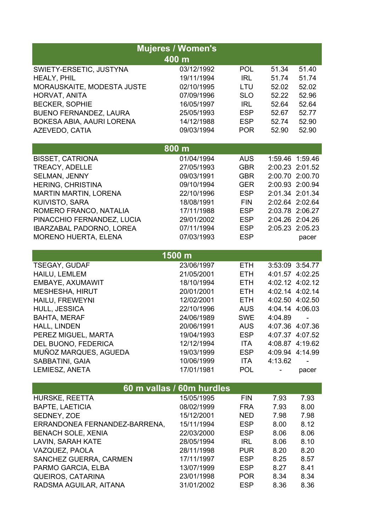| <b>Mujeres / Women's</b>        |            |            |                 |                 |  |
|---------------------------------|------------|------------|-----------------|-----------------|--|
|                                 | 400 m      |            |                 |                 |  |
| SWIETY-ERSETIC, JUSTYNA         | 03/12/1992 | <b>POL</b> | 51.34           | 51.40           |  |
| <b>HEALY, PHIL</b>              | 19/11/1994 | <b>IRL</b> | 51.74           | 51.74           |  |
| MORAUSKAITE, MODESTA JUSTE      | 02/10/1995 | LTU        | 52.02           | 52.02           |  |
| HORVAT, ANITA                   | 07/09/1996 | <b>SLO</b> | 52.22           | 52.96           |  |
| <b>BECKER, SOPHIE</b>           | 16/05/1997 | <b>IRL</b> | 52.64           | 52.64           |  |
| <b>BUENO FERNANDEZ, LAURA</b>   | 25/05/1993 | <b>ESP</b> | 52.67           | 52.77           |  |
| BOKESA ABIA, AAURI LORENA       | 14/12/1988 | <b>ESP</b> | 52.74           | 52.90           |  |
| AZEVEDO, CATIA                  | 09/03/1994 | <b>POR</b> | 52.90           | 52.90           |  |
|                                 | 800 m      |            |                 |                 |  |
| <b>BISSET, CATRIONA</b>         | 01/04/1994 | <b>AUS</b> | 1:59.46         | 1:59.46         |  |
| <b>TREACY, ADELLE</b>           | 27/05/1993 | <b>GBR</b> | 2:00.23 2:01.52 |                 |  |
| SELMAN, JENNY                   | 09/03/1991 | <b>GBR</b> | 2:00.70 2:00.70 |                 |  |
| <b>HERING, CHRISTINA</b>        | 09/10/1994 | <b>GER</b> | 2:00.93 2:00.94 |                 |  |
| <b>MARTIN MARTIN, LORENA</b>    | 22/10/1996 | <b>ESP</b> | 2:01.34 2:01.34 |                 |  |
| KUIVISTO, SARA                  | 18/08/1991 | <b>FIN</b> | 2:02.64 2:02.64 |                 |  |
| ROMERO FRANCO, NATALIA          | 17/11/1988 | <b>ESP</b> | 2:03.78 2:06.27 |                 |  |
| PINACCHIO FERNANDEZ, LUCIA      | 29/01/2002 | <b>ESP</b> | 2:04.26 2:04.26 |                 |  |
| <b>IBARZABAL PADORNO, LOREA</b> | 07/11/1994 | <b>ESP</b> | 2:05.23 2:05.23 |                 |  |
| <b>MORENO HUERTA, ELENA</b>     | 07/03/1993 | <b>ESP</b> |                 | pacer           |  |
|                                 | 1500 m     |            |                 |                 |  |
| <b>TSEGAY, GUDAF</b>            | 23/06/1997 | <b>ETH</b> | 3:53:09 3:54.77 |                 |  |
| HAILU, LEMLEM                   | 21/05/2001 | <b>ETH</b> | 4:01.57 4:02.25 |                 |  |
| EMBAYE, AXUMAWIT                | 18/10/1994 | <b>ETH</b> | 4:02.12 4:02.12 |                 |  |
| <b>MESHESHA, HIRUT</b>          | 20/01/2001 | <b>ETH</b> | 4:02.14 4:02.14 |                 |  |
| HAILU, FREWEYNI                 | 12/02/2001 | <b>ETH</b> | 4:02.50 4:02.50 |                 |  |
| HULL, JESSICA                   | 22/10/1996 | <b>AUS</b> | 4:04.14 4:06.03 |                 |  |
| <b>BAHTA, MERAF</b>             | 24/06/1989 | <b>SWE</b> | 4:04.89         |                 |  |
| HALL, LINDEN                    | 20/06/1991 | <b>AUS</b> |                 | 4:07.36 4:07.36 |  |
| PEREZ MIGUEL, MARTA             | 19/04/1993 | <b>ESP</b> |                 | 4:07.37 4:07.52 |  |
| DEL BUONO, FEDERICA             | 12/12/1994 | <b>ITA</b> |                 | 4:08.87 4:19.62 |  |
| MUÑOZ MARQUES, AGUEDA           | 19/03/1999 | <b>ESP</b> | 4:09.94 4:14.99 |                 |  |
| SABBATINI, GAIA                 | 10/06/1999 | ITA        | 4:13.62         |                 |  |
| LEMIESZ, ANETA                  | 17/01/1981 | <b>POL</b> |                 | pacer           |  |
| 60 m vallas / 60m hurdles       |            |            |                 |                 |  |
| HURSKE, REETTA                  | 15/05/1995 | <b>FIN</b> | 7.93            | 7.93            |  |
| <b>BAPTE, LAETICIA</b>          | 08/02/1999 | <b>FRA</b> | 7.93            | 8.00            |  |
| SEDNEY, ZOE                     | 15/12/2001 | <b>NED</b> | 7.98            | 7.98            |  |
| ERRANDONEA FERNANDEZ-BARRENA,   | 15/11/1994 | <b>ESP</b> | 8.00            | 8.12            |  |
| <b>BENACH SOLE, XENIA</b>       | 22/03/2000 | <b>ESP</b> | 8.06            | 8.06            |  |
| <b>LAVIN, SARAH KATE</b>        | 28/05/1994 | <b>IRL</b> | 8.06            | 8.10            |  |
| VAZQUEZ, PAOLA                  | 28/11/1998 | <b>PUR</b> | 8.20            | 8.20            |  |
| SANCHEZ GUERRA, CARMEN          | 17/11/1997 | <b>ESP</b> | 8.25            | 8.57            |  |
| PARMO GARCIA, ELBA              | 13/07/1999 | <b>ESP</b> | 8.27            | 8.41            |  |
| <b>QUEIROS, CATARINA</b>        | 23/01/1998 | <b>POR</b> | 8.34            | 8.34            |  |
| RADSMA AGUILAR, AITANA          | 31/01/2002 | <b>ESP</b> | 8.36            | 8.36            |  |
|                                 |            |            |                 |                 |  |